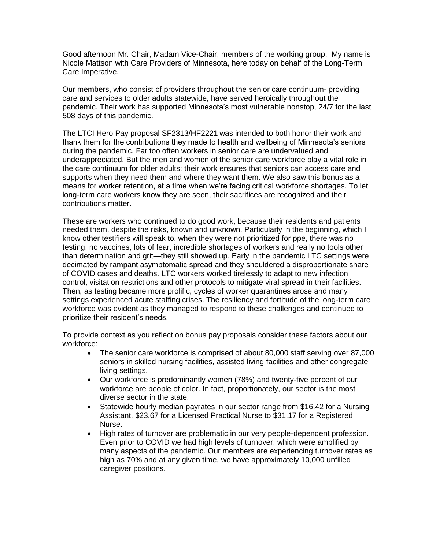Good afternoon Mr. Chair, Madam Vice-Chair, members of the working group. My name is Nicole Mattson with Care Providers of Minnesota, here today on behalf of the Long-Term Care Imperative.

Our members, who consist of providers throughout the senior care continuum- providing care and services to older adults statewide, have served heroically throughout the pandemic. Their work has supported Minnesota's most vulnerable nonstop, 24/7 for the last 508 days of this pandemic.

The LTCI Hero Pay proposal SF2313/HF2221 was intended to both honor their work and thank them for the contributions they made to health and wellbeing of Minnesota's seniors during the pandemic. Far too often workers in senior care are undervalued and underappreciated. But the men and women of the senior care workforce play a vital role in the care continuum for older adults; their work ensures that seniors can access care and supports when they need them and where they want them. We also saw this bonus as a means for worker retention, at a time when we're facing critical workforce shortages. To let long-term care workers know they are seen, their sacrifices are recognized and their contributions matter.

These are workers who continued to do good work, because their residents and patients needed them, despite the risks, known and unknown. Particularly in the beginning, which I know other testifiers will speak to, when they were not prioritized for ppe, there was no testing, no vaccines, lots of fear, incredible shortages of workers and really no tools other than determination and grit—they still showed up. Early in the pandemic LTC settings were decimated by rampant asymptomatic spread and they shouldered a disproportionate share of COVID cases and deaths. LTC workers worked tirelessly to adapt to new infection control, visitation restrictions and other protocols to mitigate viral spread in their facilities. Then, as testing became more prolific, cycles of worker quarantines arose and many settings experienced acute staffing crises. The resiliency and fortitude of the long-term care workforce was evident as they managed to respond to these challenges and continued to prioritize their resident's needs.

To provide context as you reflect on bonus pay proposals consider these factors about our workforce:

- The senior care workforce is comprised of about 80,000 staff serving over 87,000 seniors in skilled nursing facilities, assisted living facilities and other congregate living settings.
- Our workforce is predominantly women (78%) and twenty-five percent of our workforce are people of color. In fact, proportionately, our sector is the most diverse sector in the state.
- Statewide hourly median payrates in our sector range from \$16.42 for a Nursing Assistant, \$23.67 for a Licensed Practical Nurse to \$31.17 for a Registered Nurse.
- High rates of turnover are problematic in our very people-dependent profession. Even prior to COVID we had high levels of turnover, which were amplified by many aspects of the pandemic. Our members are experiencing turnover rates as high as 70% and at any given time, we have approximately 10,000 unfilled caregiver positions.